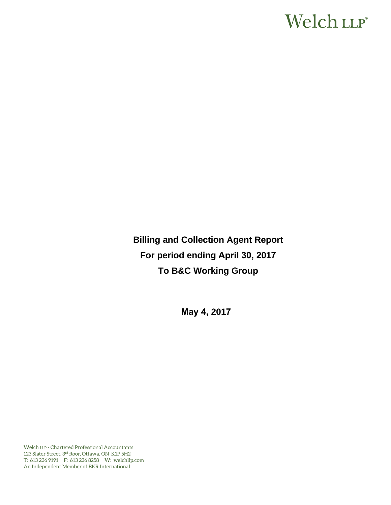# Welch LLP®

**Billing and Collection Agent Report For period ending April 30, 2017 To B&C Working Group** 

**May 4, 2017**

Welch LLP - Chartered Professional Accountants 123 Slater Street, 3rd floor, Ottawa, ON K1P 5H2 T: 613 236 9191 F: 613 236 8258 W: welchllp.com An Independent Member of BKR International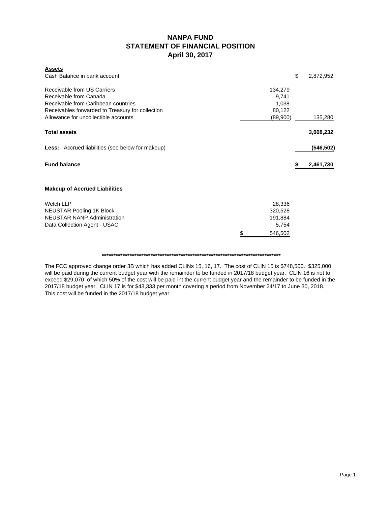## **NANPA FUND STATEMENT OF FINANCIAL POSITION April 30, 2017**

| <b>Assets</b>                                           |               |    |            |
|---------------------------------------------------------|---------------|----|------------|
| Cash Balance in bank account                            |               | \$ | 2,872,952  |
| Receivable from US Carriers                             | 134,279       |    |            |
| Receivable from Canada                                  | 9,741         |    |            |
| Receivable from Caribbean countries                     | 1,038         |    |            |
| Receivables forwarded to Treasury for collection        | 80,122        |    |            |
| Allowance for uncollectible accounts                    | (89,900)      |    | 135,280    |
| <b>Total assets</b>                                     |               |    | 3,008,232  |
| <b>Less:</b> Accrued liabilities (see below for makeup) |               |    | (546, 502) |
| <b>Fund balance</b>                                     |               | S  | 2,461,730  |
| <b>Makeup of Accrued Liabilities</b>                    |               |    |            |
| <b>Welch LLP</b>                                        | 28,336        |    |            |
|                                                         | 320,528       |    |            |
| <b>NEUSTAR Pooling 1K Block</b>                         |               |    |            |
| <b>NEUSTAR NANP Administration</b>                      | 191,884       |    |            |
| Data Collection Agent - USAC                            | 5,754         |    |            |
|                                                         | \$<br>546,502 |    |            |

**\*\*\*\*\*\*\*\*\*\*\*\*\*\*\*\*\*\*\*\*\*\*\*\*\*\*\*\*\*\*\*\*\*\*\*\*\*\*\*\*\*\*\*\*\*\*\*\*\*\*\*\*\*\*\*\*\*\*\*\*\*\*\*\*\*\*\*\*\*\*\*\*\*\*\*\*\***

The FCC approved change order 3B which has added CLINs 15, 16, 17. The cost of CLIN 15 is \$748,500. \$325,000 will be paid during the current budget year with the remainder to be funded in 2017/18 budget year. CLIN 16 is not to exceed \$29,070 of which 50% of the cost will be paid int the current budget year and the remainder to be funded in the 2017/18 budget year. CLIN 17 is for \$43,333 per month covering a period from November 24/17 to June 30, 2018. This cost will be funded in the 2017/18 budget year.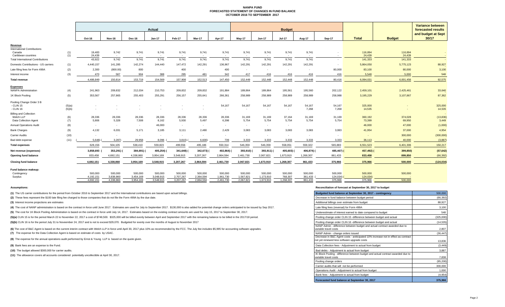#### **NANPA FUND FORECASTED STATEMENT OF CHANGES IN FUND BALANCEOCTOBER 2016 TO SEPTEMBER 2017**

|                                              |        | <b>Actual</b>          |                        |                        |                        |                        |                        |                        | <b>Budget</b>            |                        |                      |                    |                     |                     |               | <b>Variance between</b><br>forecasted results |
|----------------------------------------------|--------|------------------------|------------------------|------------------------|------------------------|------------------------|------------------------|------------------------|--------------------------|------------------------|----------------------|--------------------|---------------------|---------------------|---------------|-----------------------------------------------|
|                                              |        | Oct-16                 | <b>Nov-16</b>          | Dec-16                 | $Jan-17$               | Feb-17                 | Mar-17                 | Apr-17                 | May-17                   | <b>Jun-17</b>          | <b>Jul-17</b>        | Aug-17             | Sep-17              | <b>Total</b>        | <b>Budget</b> | and budget at Sept<br>30/17                   |
| Revenue                                      |        |                        |                        |                        |                        |                        |                        |                        |                          |                        |                      |                    |                     |                     |               |                                               |
| <b>International Contributions</b><br>Canada | (1)    | 19,483                 | 9,742                  | 9,741                  | 9,741                  | 9,741                  | 9,741                  | 9,741                  | 9,741                    | 9,741                  | 9,741                | 9,741              |                     | 116,894             | 116,894       |                                               |
| Caribbean countries                          | (1)    | 24,439                 | $\sim$                 | $\sim$                 | $\sim$                 | $\sim$                 | $\sim$                 | $\sim$ $-$             | $\sim$                   | $\sim$                 | <b>STATE</b>         | $\sim$             | $\sim$              | 24.439              | 24.439        |                                               |
| <b>Total International Contributions</b>     |        | 43,922                 | 9,742                  | 9,741                  | 9,741                  | 9,741                  | 9,741                  | 9,741                  | 9,741                    | 9,741                  | 9,741                | 9,741              |                     | 141,333             | 141,333       |                                               |
| Domestic Contributions - US carriers         | (1)    | 4,440,157              | 141,285                | 142,274                | 144.440                | 147.472                | 142,291                | 136,967                | 142,291                  | 142,291                | 142,291              | 142,291            |                     | 5,864,050           | 5,775,123     | 88,927                                        |
| Late filing fees for Form 499A               | (2)    | 2,300                  | (800.00)               | 800                    | $\sim$                 | 400                    | $\sim$                 | 400                    | $\sim$                   | $\sim$                 | $\sim$               | $\sim$             | 80,000              | 83,100              | 80,000        | 3,100                                         |
| Interest income                              | (3)    | 470                    | 587                    | 904                    | 388                    | 295                    | 481                    | 342                    | 417                      | 416                    | 416                  | 416                | 416                 | 5,548               | 5,000         | 548                                           |
| Total revenue                                |        | 4,486,849              | 150,814                | 153,719                | 154.569                | 157,908                | 152,513                | 147.450                | 152,449                  | 152,448                | 152.448              | 152,448            | 80,416              | 6,094,031           | 6,001,456     | 92,575                                        |
| <b>Expenses</b>                              |        |                        |                        |                        |                        |                        |                        |                        |                          |                        |                      |                    |                     |                     |               |                                               |
| <b>NANPA Administration</b>                  | (4)    | 241,963                | 209,832                | 212,034                | 210,753                | 209,832                | 209,832                | 191,884                | 189,864                  | 189,864                | 195,561              | 195,560            | 202,122             | 2,459,101           | 2,425,461     | 33,640                                        |
| 1K Block Pooling                             | (5)    | 353,567                | 257,865                | 255,403                | 255,291                | 256,157                | 255,641                | 266,361                | 258,989                  | 258,989                | 258,989              | 258,989            | 258,988             | 3,195,229           | 3,107,867     | 87,362                                        |
| Pooling Change Order 3 B                     |        |                        |                        |                        |                        |                        |                        |                        |                          |                        |                      |                    |                     |                     |               |                                               |
| - CLIN 15                                    | (5)(a) | ٠                      |                        |                        |                        |                        |                        | 54,167                 | 54,167                   | 54,167                 | 54,167               | 54,167             | 54,167              | 325,000             |               | 325,000                                       |
| - CLIN 16                                    | (5)(b) |                        |                        |                        |                        |                        |                        |                        | $\overline{\phantom{a}}$ |                        | $\sim$               | 7,268              | 7,268               | 14,535              |               | 14,535                                        |
| <b>Billing and Collection</b><br>Welch LLP   | (6)    | 28,336                 | 28,336                 | 28,336                 | 28,336                 | 28,336                 | 28,336                 | 28,336                 | 31,169                   | 31,169                 | 37,164               | 31,169             | 31,169              | 360,192             | 374,028       | (13, 836)                                     |
| Data Collection Agent                        | (7)    | 5,806                  | 5,328                  | 7,508                  | 8,162                  | 5,930                  | 5,497                  | 6,398                  | 5,754                    | 5,754                  | 5,754                | 5,754              | 5,754               | 73,399              | 69,950        | 3,449                                         |
| <b>Annual Operations Audit</b>               | (8)    | $\sim$                 | $\sim$                 | $\sim$                 | 46,000                 | $\sim$                 | $\sim$                 | $\sim$                 | $\sim$                   | $\sim$                 | $\sim$               |                    |                     | 46,000              | 47,000        | (1,000)                                       |
| <b>Bank Charges</b>                          | (9)    | 4,132                  | 6,031                  | 5.171                  | 3,185                  | 3.111                  | 2.480                  | 2,429                  | 3,083                    | 3,083                  | 3,083                | 3.083              | 3,083               | 41,954              | 37,000        | 4,954                                         |
| Carrier Audits                               | (10)   | $\sim$                 | $\sim$                 | $\sim$                 |                        | $\sim$                 | $\sim$                 |                        | $\sim$                   | $\sim$                 | $\sim$               |                    |                     |                     | 300,000       | (300,000)                                     |
| Bad debt expense                             | (11)   | 5.648                  | 3,287                  | 29,958                 | 8,096                  | 3,810                  | 6,600                  | 739                    | 3,333                    | 3,333                  | 3,333                | 3,333              | 3,333               | 36,113              | 40,000        | (3,887)                                       |
| <b>Total expenses</b>                        |        | 628,156                | 504,105                | 538,410                | 559,823                | 499,556                | 495,186                | 550,314                | 546,359                  | 546,359                | 558,051              | 559,322            | 565,883             | 6,551,523           | 6,401,306     | 150,217                                       |
| Net revenue (expenses)                       |        | 3,858,693              | 353,291) (             | 384,691)               | 405,254)               | 341,648)               | 342,673)               | 402,864)               | 393,910) (               | 393,911)               | 405,603)             | 406,874) (         | 485,467)            | 457,492)            | 399,850)      | (57, 642)                                     |
| Opening fund balance                         |        | 833,458                | 4,692,151              | 4,338,860              | 3,954,169              | 3,548,915              | 3,207,267              | 2,864,594              | 2,461,730                | 2,067,821              | 1,673,910            | 1,268,307          | 861,433             | 833,458             | 899,850       | (66, 392)                                     |
| <b>Closing fund balance</b>                  |        | 4,692,151              | 4,338,860              | 3,954,169              | 3,548,915              | 3,207,267              | 2,864,594              | 2,461,730              | 2,067,821                | 1,673,910              | 1,268,307            | 861,433            | 375,966             | 375,966             | 500,000       | (124, 034)                                    |
| Fund balance makeup:                         |        |                        |                        |                        |                        |                        |                        |                        |                          |                        |                      |                    |                     |                     |               |                                               |
| Contingency                                  |        | 500,000                | 500,000                | 500,000                | 500,000                | 500,000                | 500,000                | 500,000                | 500,000                  | 500,000                | 500,000              | 500,000            | 500,000             | 500,000             | 500,000       |                                               |
| Surplus                                      |        | 4,192,151<br>4.692.151 | 3.838.860<br>4.338.860 | 3,454,169<br>3.954.169 | 3,048,915<br>3.548.915 | 2,707,267<br>3,207,267 | 2,364,594<br>2.864.594 | 1,961,730<br>2,461,730 | 1,567,821<br>2.067.821   | 1,173,910<br>1.673.910 | 768,307<br>1.268.307 | 361,433<br>861.433 | 124,034)<br>375.966 | 124.034)<br>375,966 | 500,000       |                                               |
|                                              |        |                        |                        |                        |                        |                        |                        |                        |                          |                        |                      |                    |                     |                     |               |                                               |

**(1)** The US carrier contributions for the period from October 2016 to September 2017 and the International contributions are based upon actual billings.

(2) These fees represent the \$100 late filing fee charged to those companies that do not file the Form 499A by the due date.

**(3)** Interest income projections are estimates

(4) The cost of NANP administration is based on the contract in force until June 2017. Estimates are used for July to September 2017. \$130,000 is also added for potential change orders anticipated to be issued by Sep 2017.

(5) The cost for 1K Block Pooling Administration is based on the contract in force until July 14, 2017. Estimates based on the existing contract amounts are used for July 15, 2017 to September 30, 2017.

(5)(a) CLIN 15 is for the period March 22 to November 22, 2017 a cost of \$748,500. \$325,000 will be billed evenly between April and September 2017 with the remaining balance to be billed in the 2017/18 period.

(5)(b) CLIN 16 is for the period July 31 to Noveember 24, 2017 and is not to exceed \$29,070. Budgeted for evenly over the months of August to November 2017

**(7)** The expense for the Data Collection Agent is based on estimate of costs by USAC. (6) The cost of B&C Agent is based on the current interim contract with Welch LLP in force until April 30, 2017 plus 10% as recommended by the FCC. The July fee includes \$5,995 for accounting software upgrades.

**(8)** The expense for the annual operations audit performed by Ernst & Young LLP is based on the quote given.

**(9)** Bank fees are an expense to the Fund.

**(10)** The budget allowed \$300,000 for carrier audits.

**(11)** The allowance covers all accounts considered potentially uncollectible at April 30, 2017.

#### **Assumptions: Reconciliation of forecast at September 30, 2017 to budget**

| Budgeted fund balance at September 30, 2017 - contingency                                                                        | 500,000   |
|----------------------------------------------------------------------------------------------------------------------------------|-----------|
| Decrease in fund balance between budget period                                                                                   | (66, 392) |
| Additional billings over estimate from budget                                                                                    | 88,927    |
| Late filing fees (reversal) for Form 499A                                                                                        | 3,100     |
| Underestimate of interest earned to date compared to budget                                                                      | 548       |
| Pooling change order CLIN 15 -difference between budget and actual                                                               | (325,000) |
| Pooling change order CLIN 16 -difference between budget and actual                                                               | (14, 535) |
| NANP Admin - difference between budget and actual contract awarded due to<br>variable travel costs                               | 2,807     |
| NANP Admin - change orders issued                                                                                                | (36, 447) |
| Decrease in B&C Agent costs - aniticipated 10% increase not in effect as contract<br>not yet renewed less software upgrade costs | 13,836    |
| Data Collection fees - Adjustment to actual from budget                                                                          | (3, 449)  |
| Bad debts - Adjustment to actual from budget                                                                                     | 3,887     |
| IK Block Pooling - difference between budget and actual contract awarded due to<br>variable travel costs                         | 7,838     |
| Pooling change orders                                                                                                            | (95, 200) |
| Carrier audits that will not be performed                                                                                        | 300,000   |
| Operations Audit - Adjustment to actual from budget                                                                              | 1.000     |
| Bank fees - Adjustment to actual from budget                                                                                     | (4,954)   |
| Forecasted fund balance at September 30, 2017                                                                                    | 375,966   |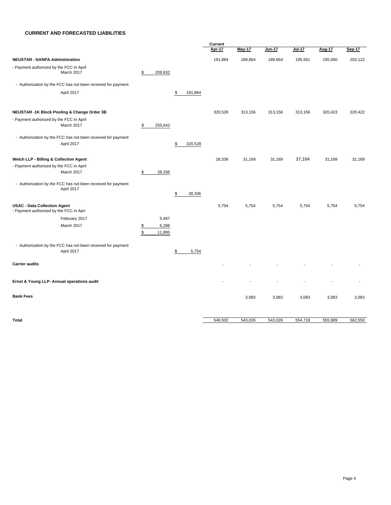#### **CURRENT AND FORECASTED LIABILITIES**

|                                                                                |                     |                 |               | Current |               |          |         |         |         |  |
|--------------------------------------------------------------------------------|---------------------|-----------------|---------------|---------|---------------|----------|---------|---------|---------|--|
|                                                                                |                     |                 |               | Apr-17  | <b>May-17</b> | $Jun-17$ | Jul-17  | Aug-17  | Sep-17  |  |
| <b>NEUSTAR - NANPA Administration</b>                                          |                     |                 |               | 191,884 | 189,864       | 189,864  | 195,561 | 195,560 | 202,122 |  |
| - Payment authorized by the FCC in April<br>March 2017                         | \$                  | 209,832         |               |         |               |          |         |         |         |  |
| - Authorization by the FCC has not been received for payment                   |                     |                 |               |         |               |          |         |         |         |  |
| April 2017                                                                     |                     |                 | \$<br>191,884 |         |               |          |         |         |         |  |
| NEUSTAR -1K Block Pooling & Change Order 3B                                    |                     |                 |               | 320,528 | 313,156       | 313,156  | 313,156 | 320,423 | 320,422 |  |
| - Payment authorized by the FCC in April<br>March 2017                         | \$                  | 255,642         |               |         |               |          |         |         |         |  |
| - Authorization by the FCC has not been received for payment<br>April 2017     |                     |                 | 320,528<br>\$ |         |               |          |         |         |         |  |
| Welch LLP - Billing & Collection Agent                                         |                     |                 |               | 28,336  | 31,169        | 31,169   | 37,164  | 31,169  | 31,169  |  |
| - Payment authorized by the FCC in April<br>March 2017                         | \$                  | 28,336          |               |         |               |          |         |         |         |  |
| - Authorization by the FCC has not been received for payment<br>April 2017     |                     |                 | 28,336<br>\$  |         |               |          |         |         |         |  |
| <b>USAC - Data Collection Agent</b><br>- Payment authorized by the FCC in Apri |                     |                 |               | 5,754   | 5,754         | 5,754    | 5,754   | 5,754   | 5,754   |  |
| February 2017                                                                  |                     | 5,497           |               |         |               |          |         |         |         |  |
| March 2017                                                                     | $\frac{1}{2}$<br>\$ | 6,398<br>11,895 |               |         |               |          |         |         |         |  |
| - Authorization by the FCC has not been received for payment<br>April 2017     |                     |                 | 5,754<br>\$   |         |               |          |         |         |         |  |
| <b>Carrier audits</b>                                                          |                     |                 |               |         |               |          |         |         |         |  |
| Ernst & Young LLP- Annual operations audit                                     |                     |                 |               |         |               |          |         |         |         |  |
| <b>Bank Fees</b>                                                               |                     |                 |               |         | 3,083         | 3,083    | 3,083   | 3,083   | 3,083   |  |
|                                                                                |                     |                 |               |         |               |          |         |         |         |  |
| <b>Total</b>                                                                   |                     |                 |               | 546,502 | 543,026       | 543,026  | 554,718 | 555,989 | 562,550 |  |